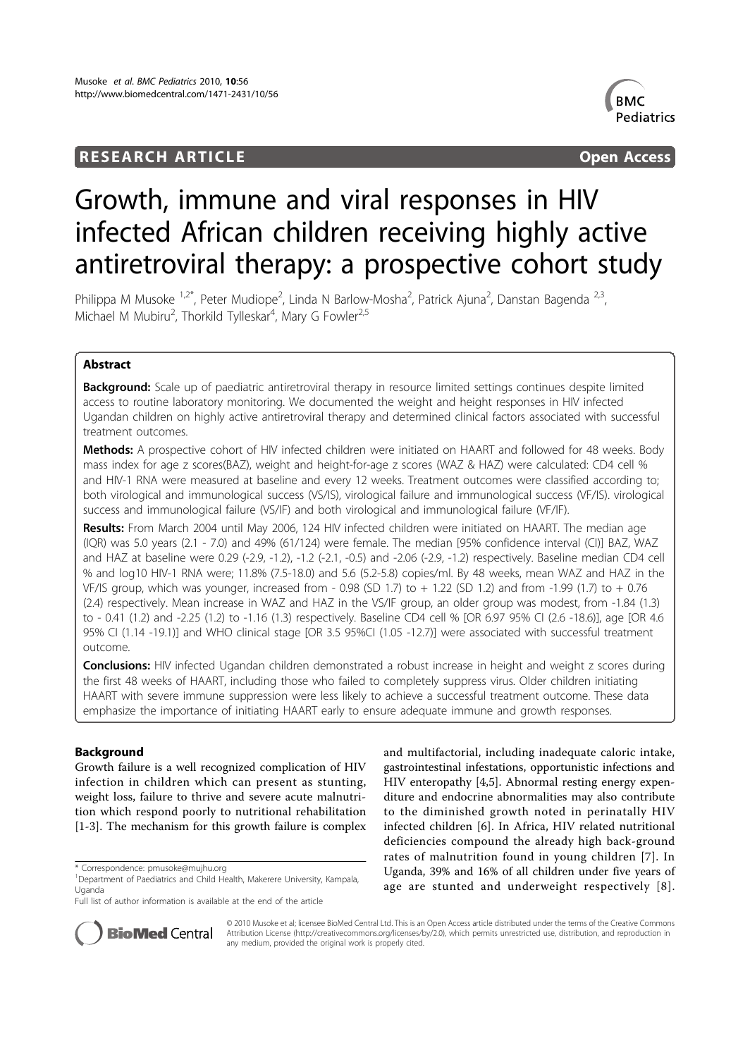## **RESEARCH ARTICLE** And the open Access of the open Access of the open Access of the open Access of the open Access



# Growth, immune and viral responses in HIV infected African children receiving highly active antiretroviral therapy: a prospective cohort study

Philippa M Musoke <sup>1,2\*</sup>, Peter Mudiope<sup>2</sup>, Linda N Barlow-Mosha<sup>2</sup>, Patrick Ajuna<sup>2</sup>, Danstan Bagenda <sup>2,3</sup>, Michael M Mubiru<sup>2</sup>, Thorkild Tylleskar<sup>4</sup>, Mary G Fowler<sup>2,5</sup>

## Abstract

**Background:** Scale up of paediatric antiretroviral therapy in resource limited settings continues despite limited access to routine laboratory monitoring. We documented the weight and height responses in HIV infected Ugandan children on highly active antiretroviral therapy and determined clinical factors associated with successful treatment outcomes.

Methods: A prospective cohort of HIV infected children were initiated on HAART and followed for 48 weeks. Body mass index for age z scores(BAZ), weight and height-for-age z scores (WAZ & HAZ) were calculated: CD4 cell % and HIV-1 RNA were measured at baseline and every 12 weeks. Treatment outcomes were classified according to; both virological and immunological success (VS/IS), virological failure and immunological success (VF/IS). virological success and immunological failure (VS/IF) and both virological and immunological failure (VF/IF).

Results: From March 2004 until May 2006, 124 HIV infected children were initiated on HAART. The median age (IQR) was 5.0 years (2.1 - 7.0) and 49% (61/124) were female. The median [95% confidence interval (CI)] BAZ, WAZ and HAZ at baseline were 0.29 (-2.9, -1.2), -1.2 (-2.1, -0.5) and -2.06 (-2.9, -1.2) respectively. Baseline median CD4 cell % and log10 HIV-1 RNA were; 11.8% (7.5-18.0) and 5.6 (5.2-5.8) copies/ml. By 48 weeks, mean WAZ and HAZ in the VF/IS group, which was younger, increased from - 0.98 (SD 1.7) to + 1.22 (SD 1.2) and from -1.99 (1.7) to + 0.76 (2.4) respectively. Mean increase in WAZ and HAZ in the VS/IF group, an older group was modest, from -1.84 (1.3) to - 0.41 (1.2) and -2.25 (1.2) to -1.16 (1.3) respectively. Baseline CD4 cell % [OR 6.97 95% CI (2.6 -18.6)], age [OR 4.6 95% CI (1.14 -19.1)] and WHO clinical stage [OR 3.5 95%CI (1.05 -12.7)] were associated with successful treatment outcome.

Conclusions: HIV infected Ugandan children demonstrated a robust increase in height and weight z scores during the first 48 weeks of HAART, including those who failed to completely suppress virus. Older children initiating HAART with severe immune suppression were less likely to achieve a successful treatment outcome. These data emphasize the importance of initiating HAART early to ensure adequate immune and growth responses.

## Background

Growth failure is a well recognized complication of HIV infection in children which can present as stunting, weight loss, failure to thrive and severe acute malnutrition which respond poorly to nutritional rehabilitation [1-3]. The mechanism for this growth failure is complex

\* Correspondence: pmusoke@mujhu.org

and multifactorial, including inadequate caloric intake, gastrointestinal infestations, opportunistic infections and HIV enteropathy [4,5]. Abnormal resting energy expenditure and endocrine abnormalities may also contribute to the diminished growth noted in perinatally HIV infected children [6]. In Africa, HIV related nutritional deficiencies compound the already high back-ground rates of malnutrition found in young children [7]. In Uganda, 39% and 16% of all children under five years of age are stunted and underweight respectively [8].



© 2010 Musoke et al; licensee BioMed Central Ltd. This is an Open Access article distributed under the terms of the Creative Commons Attribution License (http://creativecommons.org/licenses/by/2.0), which permits unrestricted use, distribution, and reproduction in any medium, provided the original work is properly cited.

<sup>&</sup>lt;sup>1</sup>Department of Paediatrics and Child Health, Makerere University, Kampala, Uganda

Full list of author information is available at the end of the article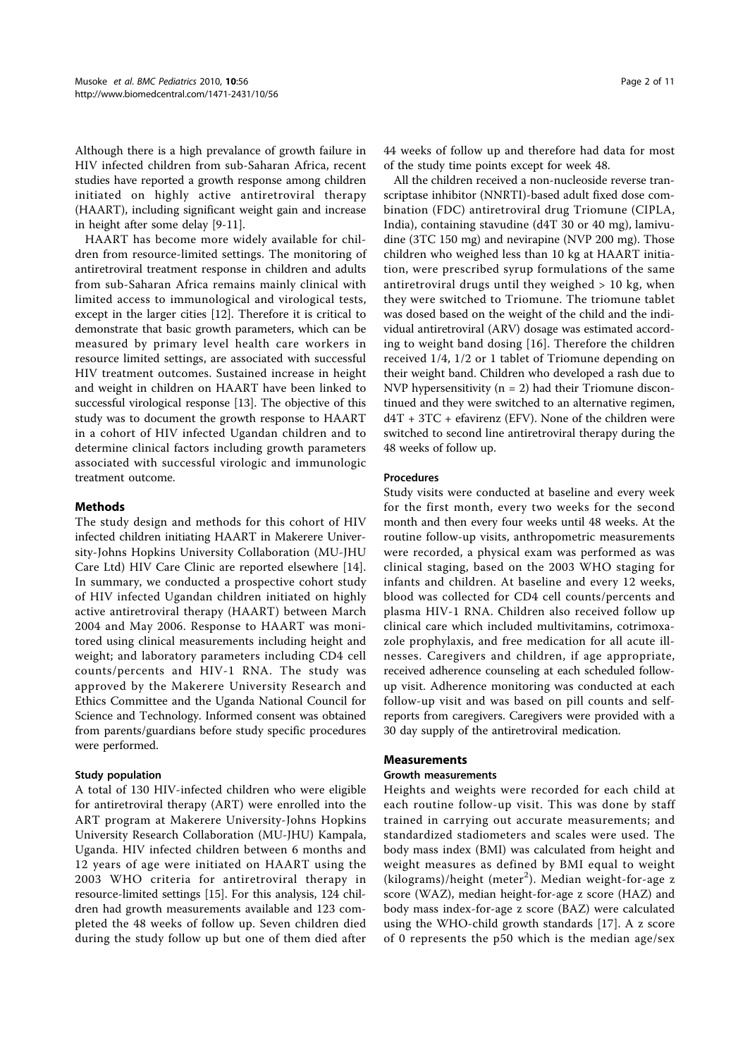Although there is a high prevalance of growth failure in HIV infected children from sub-Saharan Africa, recent studies have reported a growth response among children initiated on highly active antiretroviral therapy (HAART), including significant weight gain and increase in height after some delay [9-11].

HAART has become more widely available for children from resource-limited settings. The monitoring of antiretroviral treatment response in children and adults from sub-Saharan Africa remains mainly clinical with limited access to immunological and virological tests, except in the larger cities [12]. Therefore it is critical to demonstrate that basic growth parameters, which can be measured by primary level health care workers in resource limited settings, are associated with successful HIV treatment outcomes. Sustained increase in height and weight in children on HAART have been linked to successful virological response [13]. The objective of this study was to document the growth response to HAART in a cohort of HIV infected Ugandan children and to determine clinical factors including growth parameters associated with successful virologic and immunologic treatment outcome.

## Methods

The study design and methods for this cohort of HIV infected children initiating HAART in Makerere University-Johns Hopkins University Collaboration (MU-JHU Care Ltd) HIV Care Clinic are reported elsewhere [14]. In summary, we conducted a prospective cohort study of HIV infected Ugandan children initiated on highly active antiretroviral therapy (HAART) between March 2004 and May 2006. Response to HAART was monitored using clinical measurements including height and weight; and laboratory parameters including CD4 cell counts/percents and HIV-1 RNA. The study was approved by the Makerere University Research and Ethics Committee and the Uganda National Council for Science and Technology. Informed consent was obtained from parents/guardians before study specific procedures were performed.

#### Study population

A total of 130 HIV-infected children who were eligible for antiretroviral therapy (ART) were enrolled into the ART program at Makerere University-Johns Hopkins University Research Collaboration (MU-JHU) Kampala, Uganda. HIV infected children between 6 months and 12 years of age were initiated on HAART using the 2003 WHO criteria for antiretroviral therapy in resource-limited settings [15]. For this analysis, 124 children had growth measurements available and 123 completed the 48 weeks of follow up. Seven children died during the study follow up but one of them died after 44 weeks of follow up and therefore had data for most of the study time points except for week 48.

All the children received a non-nucleoside reverse transcriptase inhibitor (NNRTI)-based adult fixed dose combination (FDC) antiretroviral drug Triomune (CIPLA, India), containing stavudine (d4T 30 or 40 mg), lamivudine (3TC 150 mg) and nevirapine (NVP 200 mg). Those children who weighed less than 10 kg at HAART initiation, were prescribed syrup formulations of the same antiretroviral drugs until they weighed > 10 kg, when they were switched to Triomune. The triomune tablet was dosed based on the weight of the child and the individual antiretroviral (ARV) dosage was estimated according to weight band dosing [16]. Therefore the children received 1/4, 1/2 or 1 tablet of Triomune depending on their weight band. Children who developed a rash due to NVP hypersensitivity ( $n = 2$ ) had their Triomune discontinued and they were switched to an alternative regimen,  $dAT + 3TC + e$ favirenz (EFV). None of the children were switched to second line antiretroviral therapy during the 48 weeks of follow up.

#### Procedures

Study visits were conducted at baseline and every week for the first month, every two weeks for the second month and then every four weeks until 48 weeks. At the routine follow-up visits, anthropometric measurements were recorded, a physical exam was performed as was clinical staging, based on the 2003 WHO staging for infants and children. At baseline and every 12 weeks, blood was collected for CD4 cell counts/percents and plasma HIV-1 RNA. Children also received follow up clinical care which included multivitamins, cotrimoxazole prophylaxis, and free medication for all acute illnesses. Caregivers and children, if age appropriate, received adherence counseling at each scheduled followup visit. Adherence monitoring was conducted at each follow-up visit and was based on pill counts and selfreports from caregivers. Caregivers were provided with a 30 day supply of the antiretroviral medication.

#### Measurements

#### Growth measurements

Heights and weights were recorded for each child at each routine follow-up visit. This was done by staff trained in carrying out accurate measurements; and standardized stadiometers and scales were used. The body mass index (BMI) was calculated from height and weight measures as defined by BMI equal to weight (kilograms)/height (meter<sup>2</sup>). Median weight-for-age z score (WAZ), median height-for-age z score (HAZ) and body mass index-for-age z score (BAZ) were calculated using the WHO-child growth standards [17]. A z score of 0 represents the p50 which is the median age/sex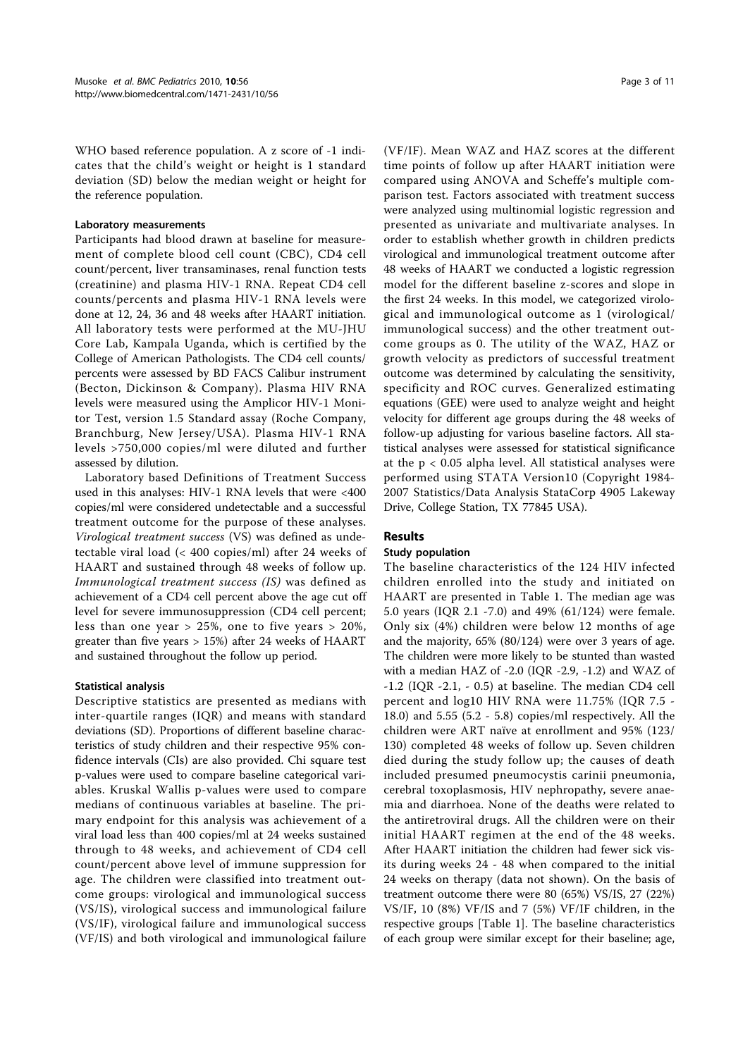WHO based reference population. A z score of -1 indicates that the child's weight or height is 1 standard deviation (SD) below the median weight or height for the reference population.

#### Laboratory measurements

Participants had blood drawn at baseline for measurement of complete blood cell count (CBC), CD4 cell count/percent, liver transaminases, renal function tests (creatinine) and plasma HIV-1 RNA. Repeat CD4 cell counts/percents and plasma HIV-1 RNA levels were done at 12, 24, 36 and 48 weeks after HAART initiation. All laboratory tests were performed at the MU-JHU Core Lab, Kampala Uganda, which is certified by the College of American Pathologists. The CD4 cell counts/ percents were assessed by BD FACS Calibur instrument (Becton, Dickinson & Company). Plasma HIV RNA levels were measured using the Amplicor HIV-1 Monitor Test, version 1.5 Standard assay (Roche Company, Branchburg, New Jersey/USA). Plasma HIV-1 RNA levels >750,000 copies/ml were diluted and further assessed by dilution.

Laboratory based Definitions of Treatment Success used in this analyses: HIV-1 RNA levels that were <400 copies/ml were considered undetectable and a successful treatment outcome for the purpose of these analyses. Virological treatment success (VS) was defined as undetectable viral load (< 400 copies/ml) after 24 weeks of HAART and sustained through 48 weeks of follow up. Immunological treatment success (IS) was defined as achievement of a CD4 cell percent above the age cut off level for severe immunosuppression (CD4 cell percent; less than one year > 25%, one to five years > 20%, greater than five years > 15%) after 24 weeks of HAART and sustained throughout the follow up period.

#### Statistical analysis

Descriptive statistics are presented as medians with inter-quartile ranges (IQR) and means with standard deviations (SD). Proportions of different baseline characteristics of study children and their respective 95% confidence intervals (CIs) are also provided. Chi square test p-values were used to compare baseline categorical variables. Kruskal Wallis p-values were used to compare medians of continuous variables at baseline. The primary endpoint for this analysis was achievement of a viral load less than 400 copies/ml at 24 weeks sustained through to 48 weeks, and achievement of CD4 cell count/percent above level of immune suppression for age. The children were classified into treatment outcome groups: virological and immunological success (VS/IS), virological success and immunological failure (VS/IF), virological failure and immunological success (VF/IS) and both virological and immunological failure (VF/IF). Mean WAZ and HAZ scores at the different time points of follow up after HAART initiation were compared using ANOVA and Scheffe's multiple comparison test. Factors associated with treatment success were analyzed using multinomial logistic regression and presented as univariate and multivariate analyses. In order to establish whether growth in children predicts virological and immunological treatment outcome after 48 weeks of HAART we conducted a logistic regression model for the different baseline z-scores and slope in the first 24 weeks. In this model, we categorized virological and immunological outcome as 1 (virological/ immunological success) and the other treatment outcome groups as 0. The utility of the WAZ, HAZ or growth velocity as predictors of successful treatment outcome was determined by calculating the sensitivity, specificity and ROC curves. Generalized estimating equations (GEE) were used to analyze weight and height velocity for different age groups during the 48 weeks of follow-up adjusting for various baseline factors. All statistical analyses were assessed for statistical significance at the p < 0.05 alpha level. All statistical analyses were performed using STATA Version10 (Copyright 1984- 2007 Statistics/Data Analysis StataCorp 4905 Lakeway Drive, College Station, TX 77845 USA).

#### Results

## Study population

The baseline characteristics of the 124 HIV infected children enrolled into the study and initiated on HAART are presented in Table 1. The median age was 5.0 years (IQR 2.1 -7.0) and 49% (61/124) were female. Only six (4%) children were below 12 months of age and the majority, 65% (80/124) were over 3 years of age. The children were more likely to be stunted than wasted with a median HAZ of -2.0 (IQR -2.9, -1.2) and WAZ of -1.2 (IQR -2.1, - 0.5) at baseline. The median CD4 cell percent and log10 HIV RNA were 11.75% (IQR 7.5 - 18.0) and 5.55 (5.2 - 5.8) copies/ml respectively. All the children were ART naïve at enrollment and 95% (123/ 130) completed 48 weeks of follow up. Seven children died during the study follow up; the causes of death included presumed pneumocystis carinii pneumonia, cerebral toxoplasmosis, HIV nephropathy, severe anaemia and diarrhoea. None of the deaths were related to the antiretroviral drugs. All the children were on their initial HAART regimen at the end of the 48 weeks. After HAART initiation the children had fewer sick visits during weeks 24 - 48 when compared to the initial 24 weeks on therapy (data not shown). On the basis of treatment outcome there were 80 (65%) VS/IS, 27 (22%) VS/IF, 10 (8%) VF/IS and 7 (5%) VF/IF children, in the respective groups [Table 1]. The baseline characteristics of each group were similar except for their baseline; age,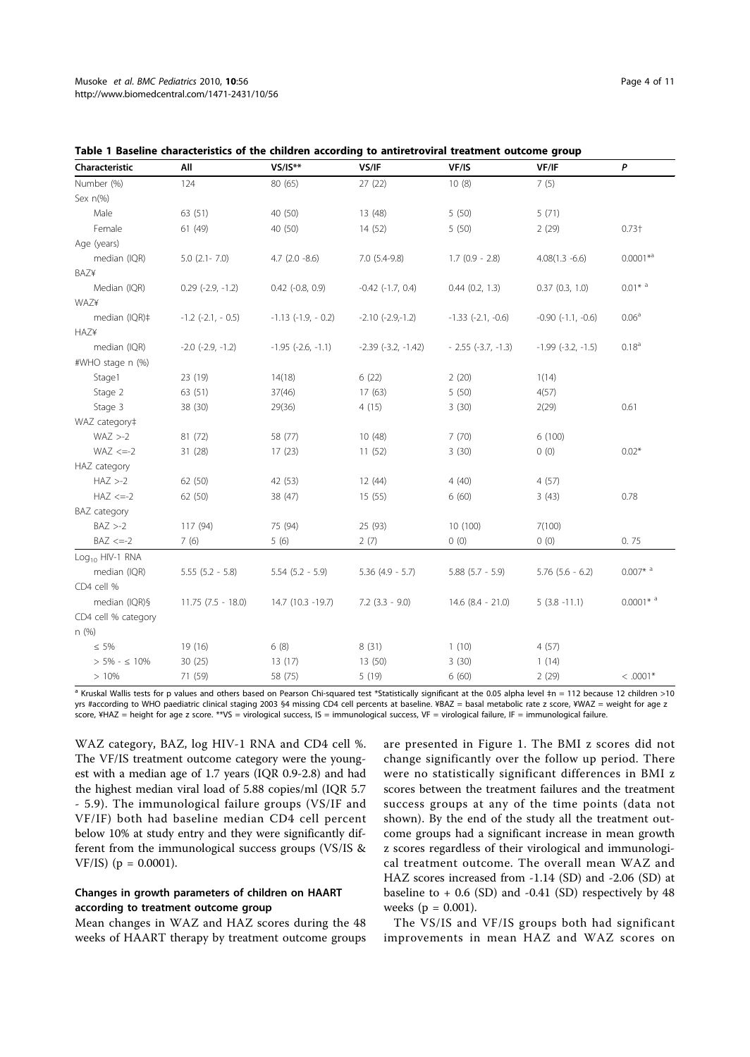| Characteristic              | All                   | $VS/IS***$             | VS/IF                   | VF/IS                  | VF/IF                  | P                      |
|-----------------------------|-----------------------|------------------------|-------------------------|------------------------|------------------------|------------------------|
| Number (%)                  | 124                   | 80 (65)                | 27(22)                  | 10(8)                  | 7(5)                   |                        |
| Sex $n(%)$                  |                       |                        |                         |                        |                        |                        |
| Male                        | 63 (51)               | 40 (50)                | 13 (48)                 | 5(50)                  | 5(71)                  |                        |
| Female                      | 61 (49)               | 40 (50)                | 14 (52)                 | 5(50)                  | 2(29)                  | $0.73 +$               |
| Age (years)                 |                       |                        |                         |                        |                        |                        |
| median (IQR)                | $5.0$ $(2.1 - 7.0)$   | $4.7$ $(2.0 -8.6)$     | $7.0(5.4-9.8)$          | $1.7$ (0.9 - 2.8)      | $4.08(1.3 - 6.6)$      | $0.0001*^{a}$          |
| <b>BAZ¥</b>                 |                       |                        |                         |                        |                        |                        |
| Median (IQR)                | $0.29$ $(-2.9, -1.2)$ | $0.42$ $(-0.8, 0.9)$   | $-0.42$ $(-1.7, 0.4)$   | 0.44(0.2, 1.3)         | 0.37(0.3, 1.0)         | $0.01*$ <sup>a</sup>   |
| WAZ¥                        |                       |                        |                         |                        |                        |                        |
| median (IQR)‡               | $-1.2$ $(-2.1, -0.5)$ | $-1.13$ $(-1.9, -0.2)$ | $-2.10$ $(-2.9,-1.2)$   | $-1.33$ $(-2.1, -0.6)$ | $-0.90$ $(-1.1, -0.6)$ | 0.06 <sup>a</sup>      |
| <b>HAZ¥</b>                 |                       |                        |                         |                        |                        |                        |
| median (IQR)                | $-2.0$ $(-2.9, -1.2)$ | $-1.95$ $(-2.6, -1.1)$ | $-2.39$ $(-3.2, -1.42)$ | $-2.55(-3.7, -1.3)$    | $-1.99$ $(-3.2, -1.5)$ | $0.18^{a}$             |
| #WHO stage n (%)            |                       |                        |                         |                        |                        |                        |
| Stage1                      | 23 (19)               | 14(18)                 | 6(22)                   | 2(20)                  | 1(14)                  |                        |
| Stage 2                     | 63 (51)               | 37(46)                 | 17(63)                  | 5(50)                  | 4(57)                  |                        |
| Stage 3                     | 38 (30)               | 29(36)                 | 4(15)                   | 3(30)                  | 2(29)                  | 0.61                   |
| WAZ category‡               |                       |                        |                         |                        |                        |                        |
| $WAZ > -2$                  | 81 (72)               | 58 (77)                | 10 (48)                 | 7(70)                  | 6(100)                 |                        |
| $WAZ \leq =-2$              | 31 (28)               | 17(23)                 | 11(52)                  | 3(30)                  | 0(0)                   | $0.02*$                |
| HAZ category                |                       |                        |                         |                        |                        |                        |
| $HAZ > -2$                  | 62 (50)               | 42 (53)                | 12(44)                  | 4(40)                  | 4(57)                  |                        |
| $HAZ \leq -2$               | 62 (50)               | 38 (47)                | 15 (55)                 | 6(60)                  | 3(43)                  | 0.78                   |
| BAZ category                |                       |                        |                         |                        |                        |                        |
| $BAZ > -2$                  | 117 (94)              | 75 (94)                | 25 (93)                 | 10 (100)               | 7(100)                 |                        |
| $BAZ \leq -2$               | 7(6)                  | 5(6)                   | 2(7)                    | 0(0)                   | (0)                    | 0.75                   |
| Log <sub>10</sub> HIV-1 RNA |                       |                        |                         |                        |                        |                        |
| median (IQR)                | $5.55(5.2 - 5.8)$     | $5.54$ $(5.2 - 5.9)$   | $5.36$ (4.9 - 5.7)      | $5.88$ $(5.7 - 5.9)$   | $5.76$ $(5.6 - 6.2)$   | $0.007*$ <sup>a</sup>  |
| CD4 cell %                  |                       |                        |                         |                        |                        |                        |
| median (IQR)§               | $11.75(7.5 - 18.0)$   | 14.7 (10.3 -19.7)      | $7.2$ $(3.3 - 9.0)$     | $14.6$ $(8.4 - 21.0)$  | $5(3.8 - 11.1)$        | $0.0001*$ <sup>a</sup> |
| CD4 cell % category         |                       |                        |                         |                        |                        |                        |
| n (%)                       |                       |                        |                         |                        |                        |                        |
| $\leq 5\%$                  | 19 (16)               | 6(8)                   | 8(31)                   | 1(10)                  | 4(57)                  |                        |
| $> 5\% - 5\%$               | 30(25)                | 13(17)                 | 13 (50)                 | 3(30)                  | 1(14)                  |                        |
| >10%                        | 71 (59)               | 58 (75)                | 5(19)                   | 6(60)                  | 2(29)                  | $< .0001*$             |

| Table 1 Baseline characteristics of the children according to antiretroviral treatment outcome group |  |
|------------------------------------------------------------------------------------------------------|--|
|------------------------------------------------------------------------------------------------------|--|

a Kruskal Wallis tests for p values and others based on Pearson Chi-squared test \*Statistically significant at the 0.05 alpha level ‡n = 112 because 12 children >10 yrs #according to WHO paediatric clinical staging 2003 §4 missing CD4 cell percents at baseline. ¥BAZ = basal metabolic rate z score, ¥WAZ = weight for age z score, ¥HAZ = height for age z score. \*\*VS = virological success, IS = immunological success, VF = virological failure, IF = immunological failure.

WAZ category, BAZ, log HIV-1 RNA and CD4 cell %. The VF/IS treatment outcome category were the youngest with a median age of 1.7 years (IQR 0.9-2.8) and had the highest median viral load of 5.88 copies/ml (IQR 5.7 - 5.9). The immunological failure groups (VS/IF and VF/IF) both had baseline median CD4 cell percent below 10% at study entry and they were significantly different from the immunological success groups (VS/IS & VF/IS) (p = 0.0001).

#### Changes in growth parameters of children on HAART according to treatment outcome group

Mean changes in WAZ and HAZ scores during the 48 weeks of HAART therapy by treatment outcome groups are presented in Figure 1. The BMI z scores did not change significantly over the follow up period. There were no statistically significant differences in BMI z scores between the treatment failures and the treatment success groups at any of the time points (data not shown). By the end of the study all the treatment outcome groups had a significant increase in mean growth z scores regardless of their virological and immunological treatment outcome. The overall mean WAZ and HAZ scores increased from -1.14 (SD) and -2.06 (SD) at baseline to + 0.6 (SD) and -0.41 (SD) respectively by 48 weeks ( $p = 0.001$ ).

The VS/IS and VF/IS groups both had significant improvements in mean HAZ and WAZ scores on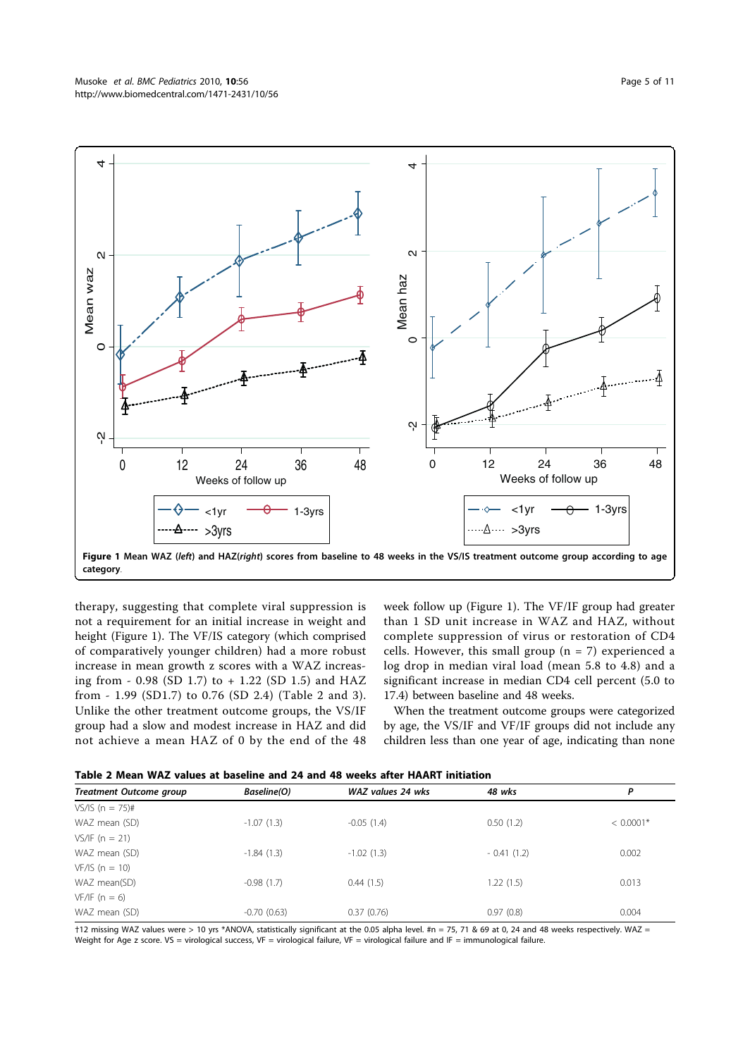

therapy, suggesting that complete viral suppression is not a requirement for an initial increase in weight and height (Figure 1). The VF/IS category (which comprised of comparatively younger children) had a more robust increase in mean growth z scores with a WAZ increasing from - 0.98 (SD 1.7) to + 1.22 (SD 1.5) and HAZ from - 1.99 (SD1.7) to 0.76 (SD 2.4) (Table 2 and 3). Unlike the other treatment outcome groups, the VS/IF group had a slow and modest increase in HAZ and did not achieve a mean HAZ of 0 by the end of the 48 week follow up (Figure 1). The VF/IF group had greater than 1 SD unit increase in WAZ and HAZ, without complete suppression of virus or restoration of CD4 cells. However, this small group  $(n = 7)$  experienced a log drop in median viral load (mean 5.8 to 4.8) and a significant increase in median CD4 cell percent (5.0 to 17.4) between baseline and 48 weeks.

When the treatment outcome groups were categorized by age, the VS/IF and VF/IF groups did not include any children less than one year of age, indicating than none

Table 2 Mean WAZ values at baseline and 24 and 48 weeks after HAART initiation

| <b>Treatment Outcome group</b> | Baseline(O)   | WAZ values 24 wks | 48 wks       | Ρ           |
|--------------------------------|---------------|-------------------|--------------|-------------|
| $VS/IS(n = 75)$ #              |               |                   |              |             |
| WAZ mean (SD)                  | $-1.07(1.3)$  | $-0.05(1.4)$      | 0.50(1.2)    | $< 0.0001*$ |
| $VS/IF (n = 21)$               |               |                   |              |             |
| WAZ mean (SD)                  | $-1.84(1.3)$  | $-1.02(1.3)$      | $-0.41(1.2)$ | 0.002       |
| $VF/IS (n = 10)$               |               |                   |              |             |
| WAZ mean(SD)                   | $-0.98(1.7)$  | 0.44(1.5)         | 1.22(1.5)    | 0.013       |
| $VF/IF (n = 6)$                |               |                   |              |             |
| WAZ mean (SD)                  | $-0.70(0.63)$ | 0.37(0.76)        | 0.97(0.8)    | 0.004       |

†12 missing WAZ values were > 10 yrs \*ANOVA, statistically significant at the 0.05 alpha level. #n = 75, 71 & 69 at 0, 24 and 48 weeks respectively. WAZ = Weight for Age z score. VS = virological success, VF = virological failure, VF = virological failure and IF = immunological failure.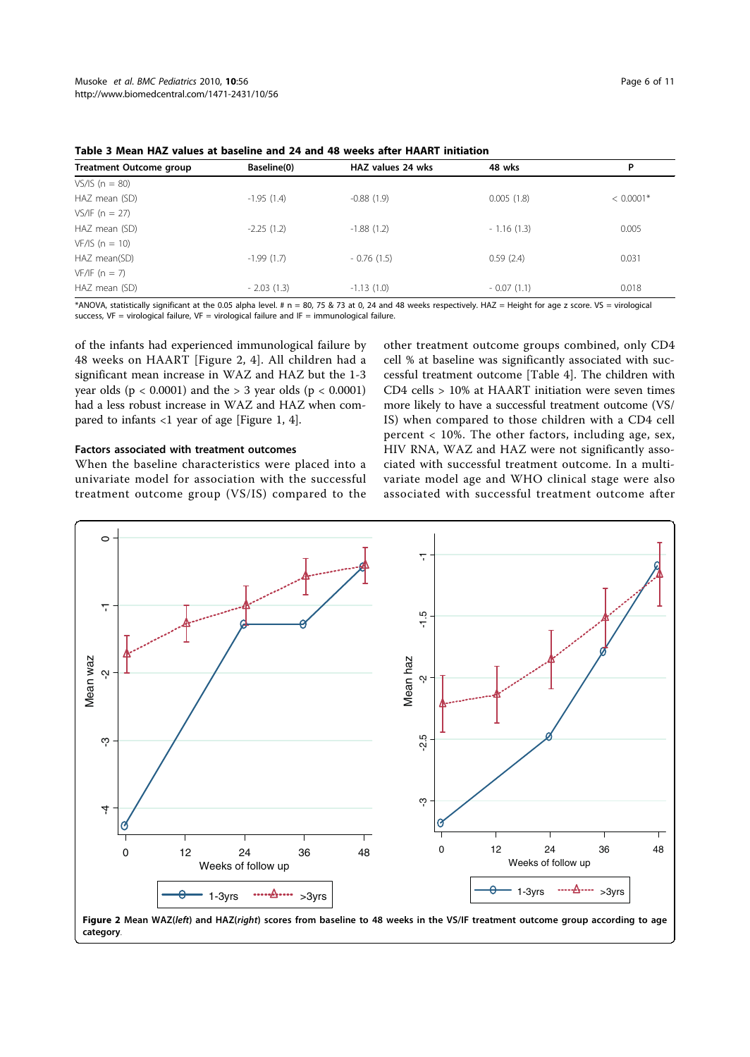|  | Page 6 of 11 |  |  |  |
|--|--------------|--|--|--|
|--|--------------|--|--|--|

| Baseline(0)  | HAZ values 24 wks | 48 wks       | P           |
|--------------|-------------------|--------------|-------------|
|              |                   |              |             |
| $-1.95(1.4)$ | $-0.88(1.9)$      | 0.005(1.8)   | $< 0.0001*$ |
|              |                   |              |             |
| $-2.25(1.2)$ | $-1.88(1.2)$      | $-1.16(1.3)$ | 0.005       |
|              |                   |              |             |
| $-1.99(1.7)$ | $-0.76(1.5)$      | 0.59(2.4)    | 0.031       |
|              |                   |              |             |
| $-2.03(1.3)$ | $-1.13(1.0)$      | $-0.07(1.1)$ | 0.018       |
|              |                   |              |             |

Table 3 Mean HAZ values at baseline and 24 and 48 weeks after HAART initiation

\*ANOVA, statistically significant at the 0.05 alpha level. # n = 80, 75 & 73 at 0, 24 and 48 weeks respectively. HAZ = Height for age z score. VS = virological success, VF = virological failure, VF = virological failure and IF = immunological failure.

of the infants had experienced immunological failure by 48 weeks on HAART [Figure 2, 4]. All children had a significant mean increase in WAZ and HAZ but the 1-3 year olds ( $p < 0.0001$ ) and the  $> 3$  year olds ( $p < 0.0001$ ) had a less robust increase in WAZ and HAZ when compared to infants <1 year of age [Figure 1, 4].

## Factors associated with treatment outcomes

When the baseline characteristics were placed into a univariate model for association with the successful treatment outcome group (VS/IS) compared to the other treatment outcome groups combined, only CD4 cell % at baseline was significantly associated with successful treatment outcome [Table 4]. The children with CD4 cells > 10% at HAART initiation were seven times more likely to have a successful treatment outcome (VS/ IS) when compared to those children with a CD4 cell percent < 10%. The other factors, including age, sex, HIV RNA, WAZ and HAZ were not significantly associated with successful treatment outcome. In a multivariate model age and WHO clinical stage were also associated with successful treatment outcome after

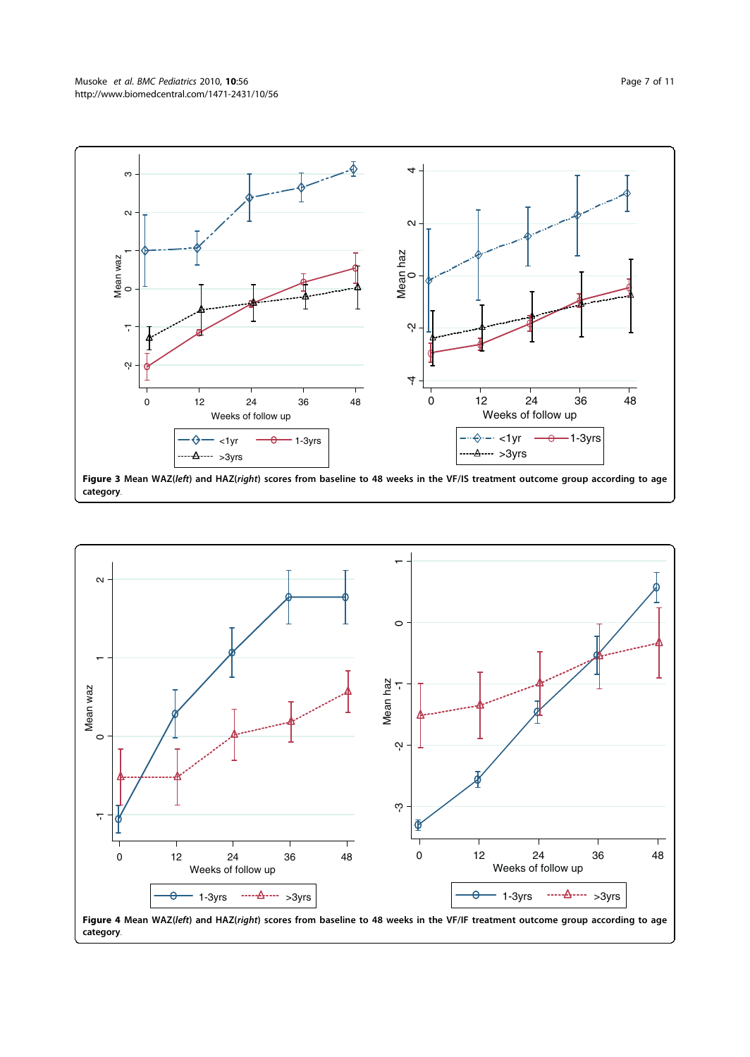

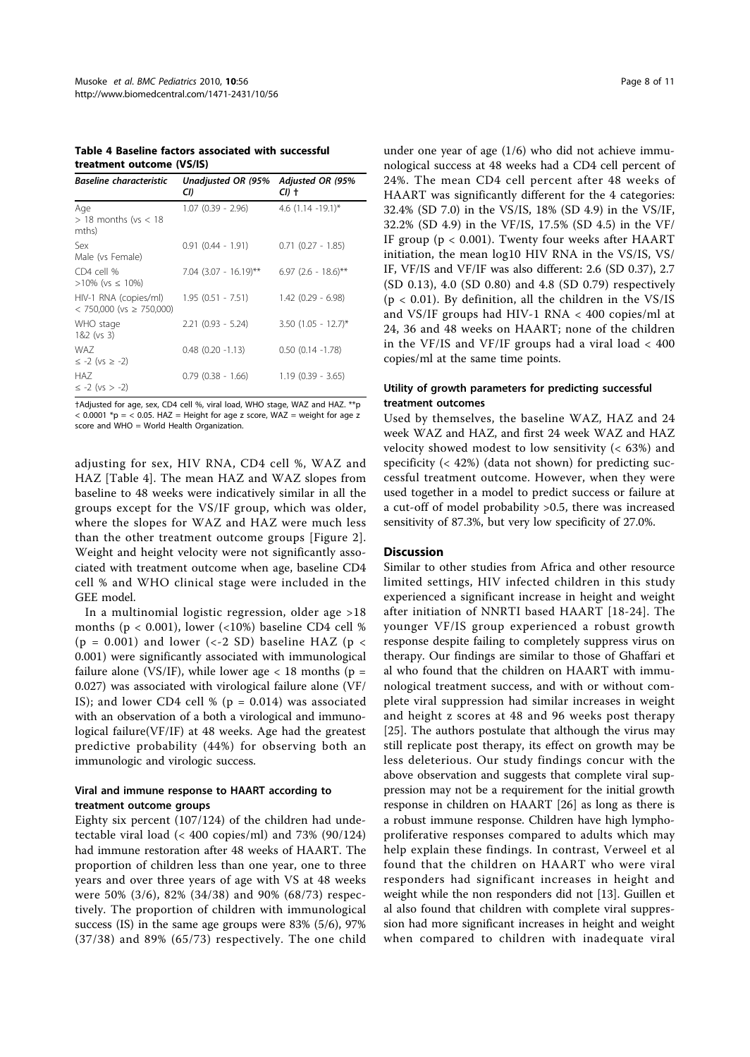Table 4 Baseline factors associated with successful treatment outcome (VS/IS)

| <b>Baseline characteristic</b>                           | Unadjusted OR (95%<br>CI) | Adjusted OR (95%<br>CI) + |
|----------------------------------------------------------|---------------------------|---------------------------|
| Age<br>$>$ 18 months (vs $<$ 18<br>mths)                 | $1.07$ $(0.39 - 2.96)$    | 4.6 $(1.14 - 19.1)^*$     |
| Sex<br>Male (vs Female)                                  | $0.91(0.44 - 1.91)$       | $0.71$ $(0.27 - 1.85)$    |
| $CD4$ cell %<br>$>10\%$ (vs $\leq 10\%$ )                | $7.04$ (3.07 - 16.19)**   | $6.97$ (2.6 - 18.6)**     |
| HIV-1 RNA (copies/ml)<br>$<$ 750,000 (vs $\geq$ 750,000) | $1.95(0.51 - 7.51)$       | $1.42(0.29 - 6.98)$       |
| WHO stage<br>1&2 (vs 3)                                  | $2.21$ (0.93 - 5.24)      | $3.50$ (1.05 - 12.7)*     |
| WA7<br>$\le -2$ (vs $\ge -2$ )                           | $0.48$ $(0.20 -1.13)$     | $0.50$ $(0.14 -1.78)$     |
| HA7<br>$\le -2$ (vs $> -2$ )                             | $0.79$ $(0.38 - 1.66)$    | $1.19(0.39 - 3.65)$       |

†Adjusted for age, sex, CD4 cell %, viral load, WHO stage, WAZ and HAZ. \*\*p  $<$  0.0001 \*p =  $<$  0.05. HAZ = Height for age z score, WAZ = weight for age z score and WHO = World Health Organization.

adjusting for sex, HIV RNA, CD4 cell %, WAZ and HAZ [Table 4]. The mean HAZ and WAZ slopes from baseline to 48 weeks were indicatively similar in all the groups except for the VS/IF group, which was older, where the slopes for WAZ and HAZ were much less than the other treatment outcome groups [Figure 2]. Weight and height velocity were not significantly associated with treatment outcome when age, baseline CD4 cell % and WHO clinical stage were included in the GEE model.

In a multinomial logistic regression, older age >18 months ( $p < 0.001$ ), lower (<10%) baseline CD4 cell % (p = 0.001) and lower (<-2 SD) baseline HAZ (p < 0.001) were significantly associated with immunological failure alone (VS/IF), while lower age  $<$  18 months (p = 0.027) was associated with virological failure alone (VF/ IS); and lower CD4 cell % ( $p = 0.014$ ) was associated with an observation of a both a virological and immunological failure(VF/IF) at 48 weeks. Age had the greatest predictive probability (44%) for observing both an immunologic and virologic success.

## Viral and immune response to HAART according to treatment outcome groups

Eighty six percent (107/124) of the children had undetectable viral load (< 400 copies/ml) and 73% (90/124) had immune restoration after 48 weeks of HAART. The proportion of children less than one year, one to three years and over three years of age with VS at 48 weeks were 50% (3/6), 82% (34/38) and 90% (68/73) respectively. The proportion of children with immunological success (IS) in the same age groups were 83% (5/6), 97% (37/38) and 89% (65/73) respectively. The one child under one year of age (1/6) who did not achieve immunological success at 48 weeks had a CD4 cell percent of 24%. The mean CD4 cell percent after 48 weeks of HAART was significantly different for the 4 categories: 32.4% (SD 7.0) in the VS/IS, 18% (SD 4.9) in the VS/IF, 32.2% (SD 4.9) in the VF/IS, 17.5% (SD 4.5) in the VF/ IF group (p < 0.001). Twenty four weeks after HAART initiation, the mean log10 HIV RNA in the VS/IS, VS/ IF, VF/IS and VF/IF was also different: 2.6 (SD 0.37), 2.7 (SD 0.13), 4.0 (SD 0.80) and 4.8 (SD 0.79) respectively  $(p < 0.01)$ . By definition, all the children in the VS/IS and VS/IF groups had HIV-1 RNA < 400 copies/ml at 24, 36 and 48 weeks on HAART; none of the children in the VF/IS and VF/IF groups had a viral load < 400 copies/ml at the same time points.

## Utility of growth parameters for predicting successful treatment outcomes

Used by themselves, the baseline WAZ, HAZ and 24 week WAZ and HAZ, and first 24 week WAZ and HAZ velocity showed modest to low sensitivity (< 63%) and specificity (< 42%) (data not shown) for predicting successful treatment outcome. However, when they were used together in a model to predict success or failure at a cut-off of model probability >0.5, there was increased sensitivity of 87.3%, but very low specificity of 27.0%.

#### Discussion

Similar to other studies from Africa and other resource limited settings, HIV infected children in this study experienced a significant increase in height and weight after initiation of NNRTI based HAART [18-24]. The younger VF/IS group experienced a robust growth response despite failing to completely suppress virus on therapy. Our findings are similar to those of Ghaffari et al who found that the children on HAART with immunological treatment success, and with or without complete viral suppression had similar increases in weight and height z scores at 48 and 96 weeks post therapy [25]. The authors postulate that although the virus may still replicate post therapy, its effect on growth may be less deleterious. Our study findings concur with the above observation and suggests that complete viral suppression may not be a requirement for the initial growth response in children on HAART [26] as long as there is a robust immune response. Children have high lymphoproliferative responses compared to adults which may help explain these findings. In contrast, Verweel et al found that the children on HAART who were viral responders had significant increases in height and weight while the non responders did not [13]. Guillen et al also found that children with complete viral suppression had more significant increases in height and weight when compared to children with inadequate viral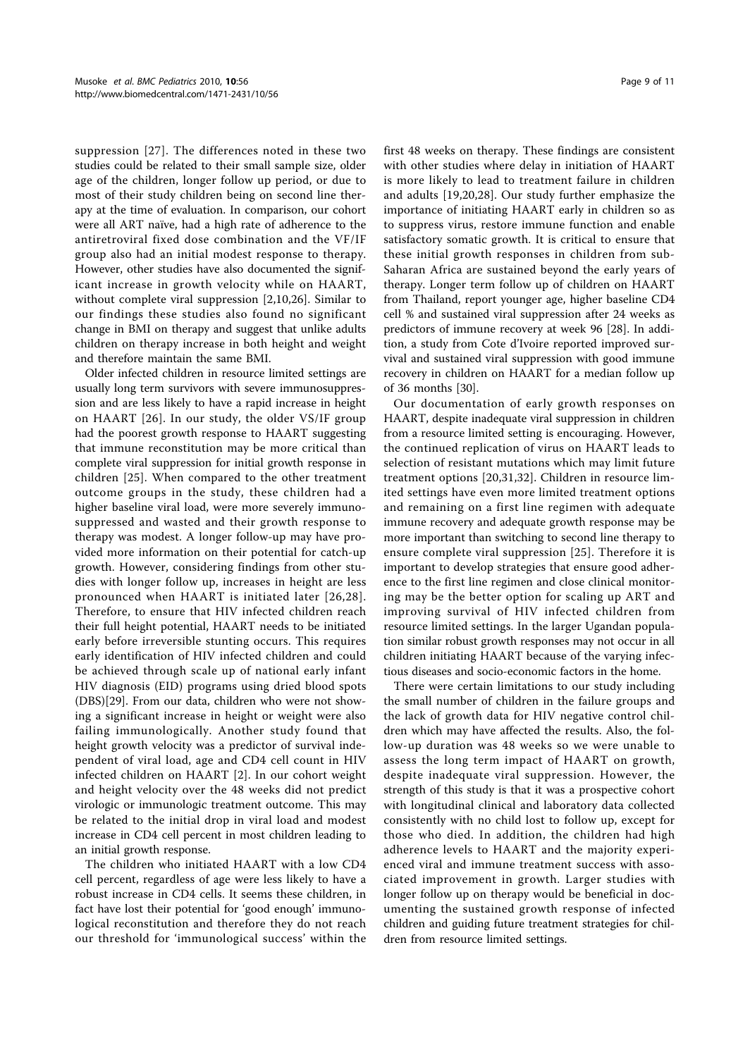suppression [27]. The differences noted in these two studies could be related to their small sample size, older age of the children, longer follow up period, or due to most of their study children being on second line therapy at the time of evaluation. In comparison, our cohort were all ART naïve, had a high rate of adherence to the antiretroviral fixed dose combination and the VF/IF group also had an initial modest response to therapy. However, other studies have also documented the significant increase in growth velocity while on HAART, without complete viral suppression [2,10,26]. Similar to our findings these studies also found no significant change in BMI on therapy and suggest that unlike adults children on therapy increase in both height and weight and therefore maintain the same BMI.

Older infected children in resource limited settings are usually long term survivors with severe immunosuppression and are less likely to have a rapid increase in height on HAART [26]. In our study, the older VS/IF group had the poorest growth response to HAART suggesting that immune reconstitution may be more critical than complete viral suppression for initial growth response in children [25]. When compared to the other treatment outcome groups in the study, these children had a higher baseline viral load, were more severely immunosuppressed and wasted and their growth response to therapy was modest. A longer follow-up may have provided more information on their potential for catch-up growth. However, considering findings from other studies with longer follow up, increases in height are less pronounced when HAART is initiated later [26,28]. Therefore, to ensure that HIV infected children reach their full height potential, HAART needs to be initiated early before irreversible stunting occurs. This requires early identification of HIV infected children and could be achieved through scale up of national early infant HIV diagnosis (EID) programs using dried blood spots (DBS)[29]. From our data, children who were not showing a significant increase in height or weight were also failing immunologically. Another study found that height growth velocity was a predictor of survival independent of viral load, age and CD4 cell count in HIV infected children on HAART [2]. In our cohort weight and height velocity over the 48 weeks did not predict virologic or immunologic treatment outcome. This may be related to the initial drop in viral load and modest increase in CD4 cell percent in most children leading to an initial growth response.

The children who initiated HAART with a low CD4 cell percent, regardless of age were less likely to have a robust increase in CD4 cells. It seems these children, in fact have lost their potential for 'good enough' immunological reconstitution and therefore they do not reach our threshold for 'immunological success' within the first 48 weeks on therapy. These findings are consistent with other studies where delay in initiation of HAART is more likely to lead to treatment failure in children and adults [19,20,28]. Our study further emphasize the importance of initiating HAART early in children so as to suppress virus, restore immune function and enable satisfactory somatic growth. It is critical to ensure that these initial growth responses in children from sub-Saharan Africa are sustained beyond the early years of therapy. Longer term follow up of children on HAART from Thailand, report younger age, higher baseline CD4 cell % and sustained viral suppression after 24 weeks as predictors of immune recovery at week 96 [28]. In addition, a study from Cote d'Ivoire reported improved survival and sustained viral suppression with good immune recovery in children on HAART for a median follow up of 36 months [30].

Our documentation of early growth responses on HAART, despite inadequate viral suppression in children from a resource limited setting is encouraging. However, the continued replication of virus on HAART leads to selection of resistant mutations which may limit future treatment options [20,31,32]. Children in resource limited settings have even more limited treatment options and remaining on a first line regimen with adequate immune recovery and adequate growth response may be more important than switching to second line therapy to ensure complete viral suppression [25]. Therefore it is important to develop strategies that ensure good adherence to the first line regimen and close clinical monitoring may be the better option for scaling up ART and improving survival of HIV infected children from resource limited settings. In the larger Ugandan population similar robust growth responses may not occur in all children initiating HAART because of the varying infectious diseases and socio-economic factors in the home.

There were certain limitations to our study including the small number of children in the failure groups and the lack of growth data for HIV negative control children which may have affected the results. Also, the follow-up duration was 48 weeks so we were unable to assess the long term impact of HAART on growth, despite inadequate viral suppression. However, the strength of this study is that it was a prospective cohort with longitudinal clinical and laboratory data collected consistently with no child lost to follow up, except for those who died. In addition, the children had high adherence levels to HAART and the majority experienced viral and immune treatment success with associated improvement in growth. Larger studies with longer follow up on therapy would be beneficial in documenting the sustained growth response of infected children and guiding future treatment strategies for children from resource limited settings.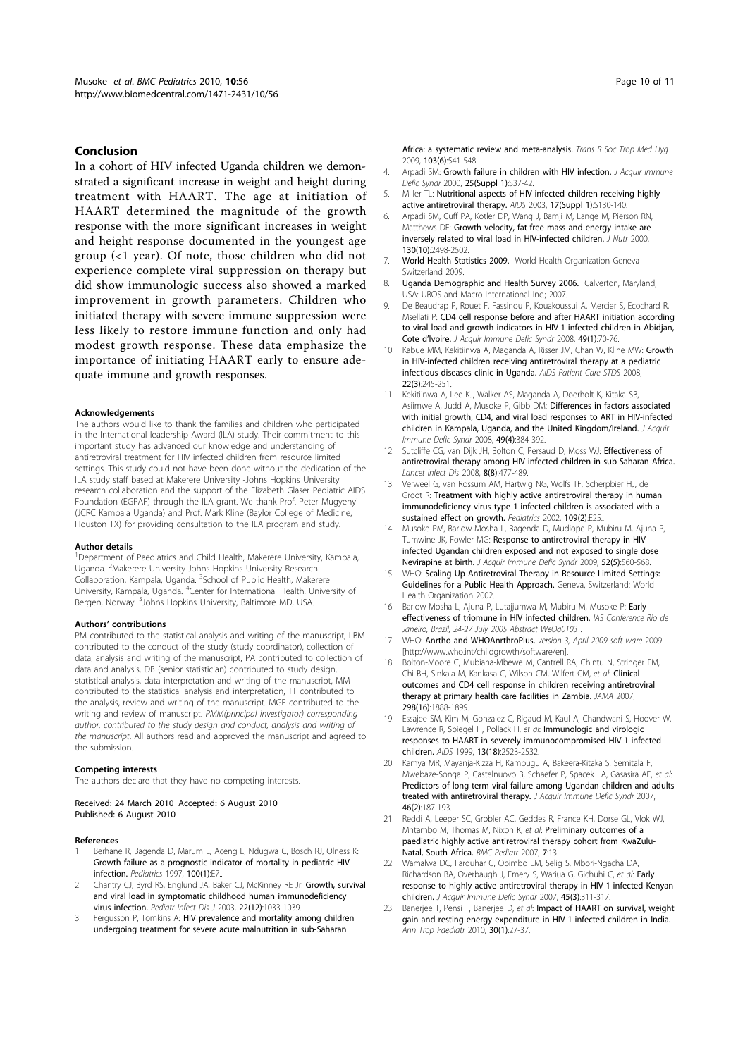#### Conclusion

In a cohort of HIV infected Uganda children we demonstrated a significant increase in weight and height during treatment with HAART. The age at initiation of HAART determined the magnitude of the growth response with the more significant increases in weight and height response documented in the youngest age group (<1 year). Of note, those children who did not experience complete viral suppression on therapy but did show immunologic success also showed a marked improvement in growth parameters. Children who initiated therapy with severe immune suppression were less likely to restore immune function and only had modest growth response. These data emphasize the importance of initiating HAART early to ensure adequate immune and growth responses.

#### Acknowledgements

The authors would like to thank the families and children who participated in the International leadership Award (ILA) study. Their commitment to this important study has advanced our knowledge and understanding of antiretroviral treatment for HIV infected children from resource limited settings. This study could not have been done without the dedication of the ILA study staff based at Makerere University -Johns Hopkins University research collaboration and the support of the Elizabeth Glaser Pediatric AIDS Foundation (EGPAF) through the ILA grant. We thank Prof. Peter Mugyenyi (JCRC Kampala Uganda) and Prof. Mark Kline (Baylor College of Medicine, Houston TX) for providing consultation to the ILA program and study.

#### Author details

<sup>1</sup>Department of Paediatrics and Child Health, Makerere University, Kampala, Uganda. <sup>2</sup>Makerere University-Johns Hopkins University Research Collaboration, Kampala, Uganda. <sup>3</sup>School of Public Health, Makerere University, Kampala, Uganda. <sup>4</sup>Center for International Health, University of Bergen, Norway. <sup>5</sup>Johns Hopkins University, Baltimore MD, USA.

#### Authors' contributions

PM contributed to the statistical analysis and writing of the manuscript, LBM contributed to the conduct of the study (study coordinator), collection of data, analysis and writing of the manuscript, PA contributed to collection of data and analysis, DB (senior statistician) contributed to study design, statistical analysis, data interpretation and writing of the manuscript, MM contributed to the statistical analysis and interpretation, TT contributed to the analysis, review and writing of the manuscript. MGF contributed to the writing and review of manuscript. PMM(principal investigator) corresponding author, contributed to the study design and conduct, analysis and writing of the manuscript. All authors read and approved the manuscript and agreed to the submission.

#### Competing interests

The authors declare that they have no competing interests.

Received: 24 March 2010 Accepted: 6 August 2010 Published: 6 August 2010

#### References

- Berhane R, Bagenda D, Marum L, Aceng E, Ndugwa C, Bosch RJ, Olness K: Growth failure as a prognostic indicator of mortality in pediatric HIV infection. Pediatrics 1997, 100(1):E7..
- Chantry CJ, Byrd RS, Englund JA, Baker CJ, McKinney RE Jr: Growth, survival and viral load in symptomatic childhood human immunodeficiency virus infection. Pediatr Infect Dis J 2003, 22(12):1033-1039.
- 3. Fergusson P, Tomkins A: HIV prevalence and mortality among children undergoing treatment for severe acute malnutrition in sub-Saharan

Africa: a systematic review and meta-analysis. Trans R Soc Trop Med Hya 2009, 103(6):541-548.

- 4. Arpadi SM: Growth failure in children with HIV infection. J Acquir Immune Defic Syndr 2000, 25(Suppl 1):S37-42.
- 5. Miller TL: Nutritional aspects of HIV-infected children receiving highly active antiretroviral therapy. AIDS 2003, 17(Suppl 1):S130-140.
- 6. Arpadi SM, Cuff PA, Kotler DP, Wang J, Bamji M, Lange M, Pierson RN, Matthews DE: Growth velocity, fat-free mass and energy intake are inversely related to viral load in HIV-infected children. J Nutr 2000, 130(10):2498-2502.
- 7. World Health Statistics 2009. World Health Organization Geneva Switzerland 2009.
- 8. Uganda Demographic and Health Survey 2006. Calverton, Maryland, USA: UBOS and Macro International Inc.; 2007.
- 9. De Beaudrap P, Rouet F, Fassinou P, Kouakoussui A, Mercier S, Ecochard R, Msellati P: CD4 cell response before and after HAART initiation according to viral load and growth indicators in HIV-1-infected children in Abidjan, Cote d'Ivoire. J Acquir Immune Defic Syndr 2008, 49(1):70-76.
- 10. Kabue MM, Kekitiinwa A, Maganda A, Risser JM, Chan W, Kline MW: Growth in HIV-infected children receiving antiretroviral therapy at a pediatric infectious diseases clinic in Uganda. AIDS Patient Care STDS 2008, 22(3):245-251.
- 11. Kekitiinwa A, Lee KJ, Walker AS, Maganda A, Doerholt K, Kitaka SB, Asiimwe A, Judd A, Musoke P, Gibb DM: Differences in factors associated with initial growth, CD4, and viral load responses to ART in HIV-infected children in Kampala, Uganda, and the United Kingdom/Ireland. J Acquir Immune Defic Syndr 2008, 49(4):384-392.
- 12. Sutcliffe CG, van Dijk JH, Bolton C, Persaud D, Moss WJ: Effectiveness of antiretroviral therapy among HIV-infected children in sub-Saharan Africa. Lancet Infect Dis 2008, 8(8):477-489.
- 13. Verweel G, van Rossum AM, Hartwig NG, Wolfs TF, Scherpbier HJ, de Groot R: Treatment with highly active antiretroviral therapy in human immunodeficiency virus type 1-infected children is associated with a sustained effect on growth. Pediatrics 2002, 109(2):E25.
- 14. Musoke PM, Barlow-Mosha L, Bagenda D, Mudiope P, Mubiru M, Ajuna P, Tumwine JK, Fowler MG: Response to antiretroviral therapy in HIV infected Ugandan children exposed and not exposed to single dose Nevirapine at birth. J Acquir Immune Defic Syndr 2009, 52(5):560-568.
- 15. WHO: Scaling Up Antiretroviral Therapy in Resource-Limited Settings: Guidelines for a Public Health Approach. Geneva, Switzerland: World Health Organization 2002.
- 16. Barlow-Mosha L, Ajuna P, Lutajjumwa M, Mubiru M, Musoke P: Early effectiveness of triomune in HIV infected children. IAS Conference Rio de Janeiro, Brazil, 24-27 July 2005 Abstract WeOa0103
- 17. WHO: Anrtho and WHOAnrthroPlus. version 3, April 2009 soft ware 2009 [http://www.who.int/childgrowth/software/en].
- 18. Bolton-Moore C, Mubiana-Mbewe M, Cantrell RA, Chintu N, Stringer EM, Chi BH, Sinkala M, Kankasa C, Wilson CM, Wilfert CM, et al: Clinical outcomes and CD4 cell response in children receiving antiretroviral therapy at primary health care facilities in Zambia. JAMA 2007, 298(16):1888-1899.
- 19. Essajee SM, Kim M, Gonzalez C, Rigaud M, Kaul A, Chandwani S, Hoover W, Lawrence R, Spiegel H, Pollack H, et al: Immunologic and virologic responses to HAART in severely immunocompromised HIV-1-infected children. AIDS 1999, 13(18):2523-2532.
- 20. Kamya MR, Mayanja-Kizza H, Kambugu A, Bakeera-Kitaka S, Semitala F, Mwebaze-Songa P, Castelnuovo B, Schaefer P, Spacek LA, Gasasira AF, et al: Predictors of long-term viral failure among Ugandan children and adults treated with antiretroviral therapy. J Acquir Immune Defic Syndr 2007, 46(2):187-193.
- 21. Reddi A, Leeper SC, Grobler AC, Geddes R, France KH, Dorse GL, Vlok WJ, Mntambo M, Thomas M, Nixon K, et al: Preliminary outcomes of a paediatric highly active antiretroviral therapy cohort from KwaZulu-Natal, South Africa. BMC Pediatr 2007, 7:13.
- 22. Wamalwa DC, Farquhar C, Obimbo EM, Selig S, Mbori-Ngacha DA, Richardson BA, Overbaugh J, Emery S, Wariua G, Gichuhi C, et al: Early response to highly active antiretroviral therapy in HIV-1-infected Kenyan children. J Acquir Immune Defic Syndr 2007, 45(3):311-317.
- 23. Banerjee T, Pensi T, Banerjee D, et al: Impact of HAART on survival, weight gain and resting energy expenditure in HIV-1-infected children in India. Ann Trop Paediatr 2010, 30(1):27-37.